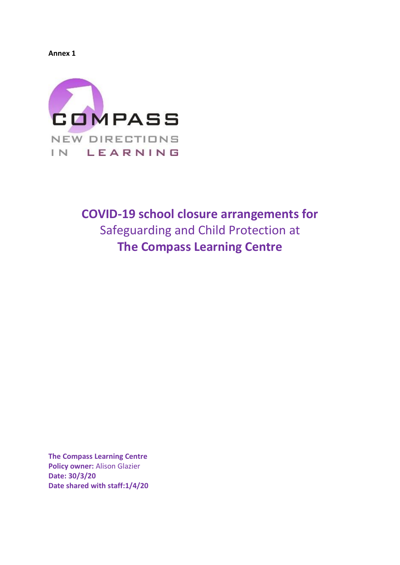**Annex 1**



# **COVID-19 school closure arrangements for**  Safeguarding and Child Protection at **The Compass Learning Centre**

**The Compass Learning Centre Policy owner:** Alison Glazier **Date: 30/3/20 Date shared with staff:1/4/20**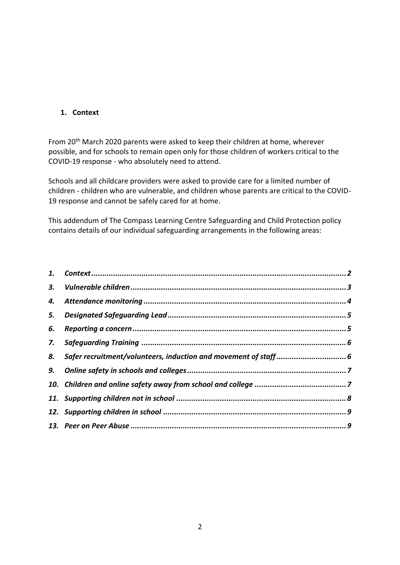# <span id="page-1-0"></span>**1. Context**

From 20th March 2020 parents were asked to keep their children at home, wherever possible, and for schools to remain open only for those children of workers critical to the COVID-19 response - who absolutely need to attend.

Schools and all childcare providers were asked to provide care for a limited number of children - children who are vulnerable, and children whose parents are critical to the COVID-19 response and cannot be safely cared for at home.

This addendum of The Compass Learning Centre Safeguarding and Child Protection policy contains details of our individual safeguarding arrangements in the following areas:

| 6. |  |
|----|--|
| 7. |  |
| 8. |  |
|    |  |
|    |  |
|    |  |
|    |  |
|    |  |
|    |  |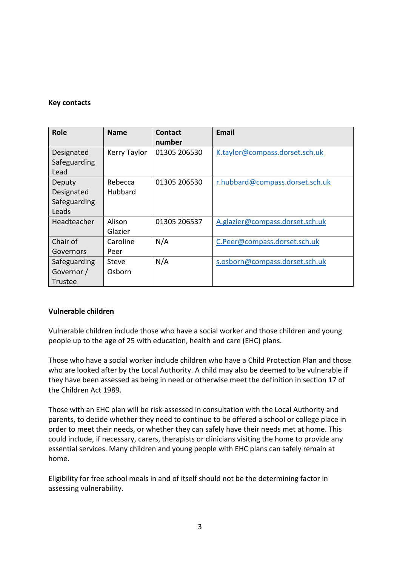## **Key contacts**

| <b>Role</b>                                           | <b>Name</b>        | Contact<br>number | <b>Email</b>                    |
|-------------------------------------------------------|--------------------|-------------------|---------------------------------|
| Designated<br>Safeguarding                            | Kerry Taylor       | 01305 206530      | K.taylor@compass.dorset.sch.uk  |
| Lead<br>Deputy<br>Designated<br>Safeguarding<br>Leads | Rebecca<br>Hubbard | 01305 206530      | r.hubbard@compass.dorset.sch.uk |
| Headteacher                                           | Alison<br>Glazier  | 01305 206537      | A.glazier@compass.dorset.sch.uk |
| Chair of<br>Governors                                 | Caroline<br>Peer   | N/A               | C.Peer@compass.dorset.sch.uk    |
| Safeguarding<br>Governor /<br>Trustee                 | Steve<br>Osborn    | N/A               | s.osborn@compass.dorset.sch.uk  |

# <span id="page-2-0"></span>**Vulnerable children**

Vulnerable children include those who have a social worker and those children and young people up to the age of 25 with education, health and care (EHC) plans.

Those who have a social worker include children who have a Child Protection Plan and those who are looked after by the Local Authority. A child may also be deemed to be vulnerable if they have been assessed as being in need or otherwise meet the definition in section 17 of the Children Act 1989.

Those with an EHC plan will be risk-assessed in consultation with the Local Authority and parents, to decide whether they need to continue to be offered a school or college place in order to meet their needs, or whether they can safely have their needs met at home. This could include, if necessary, carers, therapists or clinicians visiting the home to provide any essential services. Many children and young people with EHC plans can safely remain at home.

Eligibility for free school meals in and of itself should not be the determining factor in assessing vulnerability.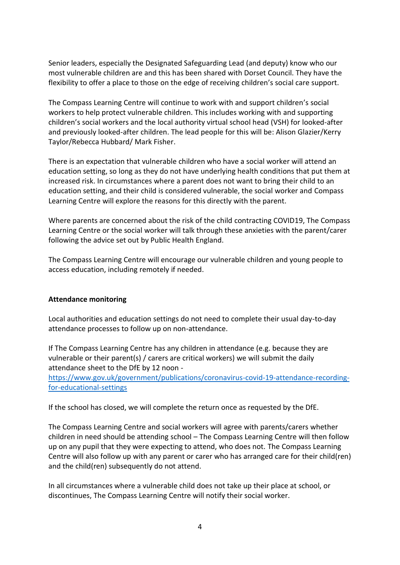Senior leaders, especially the Designated Safeguarding Lead (and deputy) know who our most vulnerable children are and this has been shared with Dorset Council. They have the flexibility to offer a place to those on the edge of receiving children's social care support.

The Compass Learning Centre will continue to work with and support children's social workers to help protect vulnerable children. This includes working with and supporting children's social workers and the local authority virtual school head (VSH) for looked-after and previously looked-after children. The lead people for this will be: Alison Glazier/Kerry Taylor/Rebecca Hubbard/ Mark Fisher.

There is an expectation that vulnerable children who have a social worker will attend an education setting, so long as they do not have underlying health conditions that put them at increased risk. In circumstances where a parent does not want to bring their child to an education setting, and their child is considered vulnerable, the social worker and Compass Learning Centre will explore the reasons for this directly with the parent.

Where parents are concerned about the risk of the child contracting COVID19, The Compass Learning Centre or the social worker will talk through these anxieties with the parent/carer following the advice set out by Public Health England.

The Compass Learning Centre will encourage our vulnerable children and young people to access education, including remotely if needed.

### <span id="page-3-0"></span>**Attendance monitoring**

Local authorities and education settings do not need to complete their usual day-to-day attendance processes to follow up on non-attendance.

If The Compass Learning Centre has any children in attendance (e.g. because they are vulnerable or their parent(s) / carers are critical workers) we will submit the daily attendance sheet to the DfE by 12 noon -

[https://www.gov.uk/government/publications/coronavirus-covid-19-attendance-recording](https://www.gov.uk/government/publications/coronavirus-covid-19-attendance-recording-for-educational-settings)[for-educational-settings](https://www.gov.uk/government/publications/coronavirus-covid-19-attendance-recording-for-educational-settings)

If the school has closed, we will complete the return once as requested by the DfE.

The Compass Learning Centre and social workers will agree with parents/carers whether children in need should be attending school – The Compass Learning Centre will then follow up on any pupil that they were expecting to attend, who does not. The Compass Learning Centre will also follow up with any parent or carer who has arranged care for their child(ren) and the child(ren) subsequently do not attend.

In all circumstances where a vulnerable child does not take up their place at school, or discontinues, The Compass Learning Centre will notify their social worker.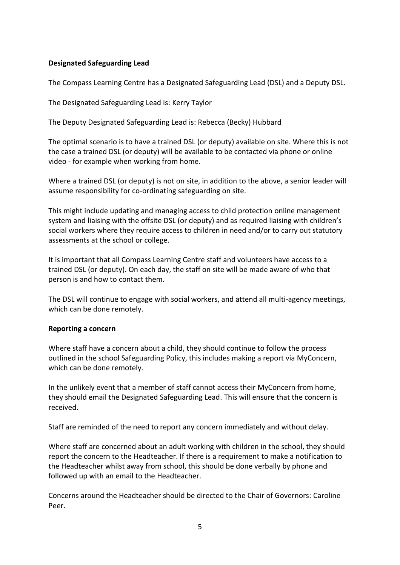## <span id="page-4-0"></span>**Designated Safeguarding Lead**

The Compass Learning Centre has a Designated Safeguarding Lead (DSL) and a Deputy DSL.

The Designated Safeguarding Lead is: Kerry Taylor

The Deputy Designated Safeguarding Lead is: Rebecca (Becky) Hubbard

The optimal scenario is to have a trained DSL (or deputy) available on site. Where this is not the case a trained DSL (or deputy) will be available to be contacted via phone or online video - for example when working from home.

Where a trained DSL (or deputy) is not on site, in addition to the above, a senior leader will assume responsibility for co-ordinating safeguarding on site.

This might include updating and managing access to child protection online management system and liaising with the offsite DSL (or deputy) and as required liaising with children's social workers where they require access to children in need and/or to carry out statutory assessments at the school or college.

It is important that all Compass Learning Centre staff and volunteers have access to a trained DSL (or deputy). On each day, the staff on site will be made aware of who that person is and how to contact them.

The DSL will continue to engage with social workers, and attend all multi-agency meetings, which can be done remotely.

### <span id="page-4-1"></span>**Reporting a concern**

Where staff have a concern about a child, they should continue to follow the process outlined in the school Safeguarding Policy, this includes making a report via MyConcern, which can be done remotely.

In the unlikely event that a member of staff cannot access their MyConcern from home, they should email the Designated Safeguarding Lead. This will ensure that the concern is received.

Staff are reminded of the need to report any concern immediately and without delay.

Where staff are concerned about an adult working with children in the school, they should report the concern to the Headteacher. If there is a requirement to make a notification to the Headteacher whilst away from school, this should be done verbally by phone and followed up with an email to the Headteacher.

Concerns around the Headteacher should be directed to the Chair of Governors: Caroline Peer.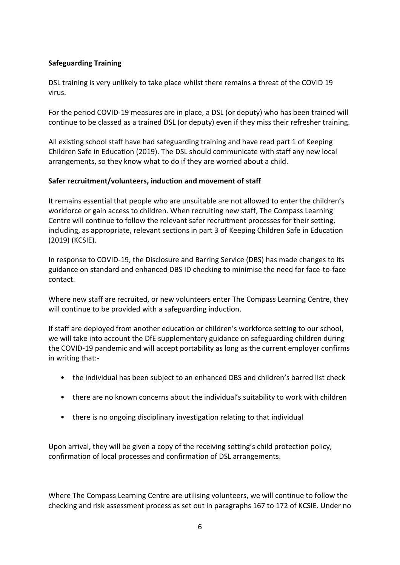# <span id="page-5-0"></span>**Safeguarding Training**

DSL training is very unlikely to take place whilst there remains a threat of the COVID 19 virus.

For the period COVID-19 measures are in place, a DSL (or deputy) who has been trained will continue to be classed as a trained DSL (or deputy) even if they miss their refresher training.

All existing school staff have had safeguarding training and have read part 1 of Keeping Children Safe in Education (2019). The DSL should communicate with staff any new local arrangements, so they know what to do if they are worried about a child.

# <span id="page-5-1"></span>**Safer recruitment/volunteers, induction and movement of staff**

It remains essential that people who are unsuitable are not allowed to enter the children's workforce or gain access to children. When recruiting new staff, The Compass Learning Centre will continue to follow the relevant safer recruitment processes for their setting, including, as appropriate, relevant sections in part 3 of Keeping Children Safe in Education (2019) (KCSIE).

In response to COVID-19, the Disclosure and Barring Service (DBS) has made changes to its guidance on standard and enhanced DBS ID checking to minimise the need for face-to-face contact.

Where new staff are recruited, or new volunteers enter The Compass Learning Centre, they will continue to be provided with a safeguarding induction.

If staff are deployed from another education or children's workforce setting to our school, we will take into account the DfE supplementary guidance on safeguarding children during the COVID-19 pandemic and will accept portability as long as the current employer confirms in writing that:-

- the individual has been subject to an enhanced DBS and children's barred list check
- there are no known concerns about the individual's suitability to work with children
- there is no ongoing disciplinary investigation relating to that individual

Upon arrival, they will be given a copy of the receiving setting's child protection policy, confirmation of local processes and confirmation of DSL arrangements.

Where The Compass Learning Centre are utilising volunteers, we will continue to follow the checking and risk assessment process as set out in paragraphs 167 to 172 of KCSIE. Under no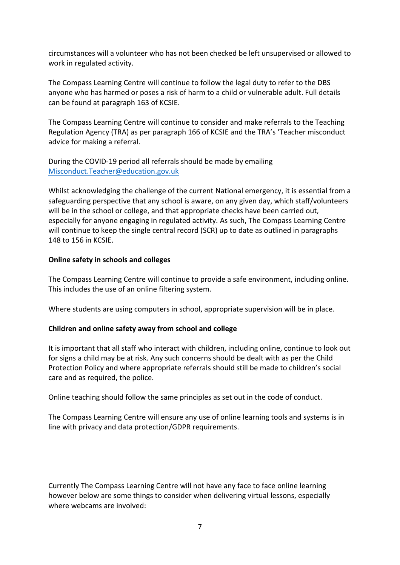circumstances will a volunteer who has not been checked be left unsupervised or allowed to work in regulated activity.

The Compass Learning Centre will continue to follow the legal duty to refer to the DBS anyone who has harmed or poses a risk of harm to a child or vulnerable adult. Full details can be found at paragraph 163 of KCSIE.

The Compass Learning Centre will continue to consider and make referrals to the Teaching Regulation Agency (TRA) as per paragraph 166 of KCSIE and the TRA's 'Teacher misconduct advice for making a referral.

During the COVID-19 period all referrals should be made by emailing [Misconduct.Teacher@education.gov.uk](mailto:Misconduct.Teacher@education.gov.uk)

Whilst acknowledging the challenge of the current National emergency, it is essential from a safeguarding perspective that any school is aware, on any given day, which staff/volunteers will be in the school or college, and that appropriate checks have been carried out, especially for anyone engaging in regulated activity. As such, The Compass Learning Centre will continue to keep the single central record (SCR) up to date as outlined in paragraphs 148 to 156 in KCSIE.

## <span id="page-6-0"></span>**Online safety in schools and colleges**

The Compass Learning Centre will continue to provide a safe environment, including online. This includes the use of an online filtering system.

Where students are using computers in school, appropriate supervision will be in place.

# <span id="page-6-1"></span>**Children and online safety away from school and college**

It is important that all staff who interact with children, including online, continue to look out for signs a child may be at risk. Any such concerns should be dealt with as per the Child Protection Policy and where appropriate referrals should still be made to children's social care and as required, the police.

Online teaching should follow the same principles as set out in the code of conduct.

The Compass Learning Centre will ensure any use of online learning tools and systems is in line with privacy and data protection/GDPR requirements.

Currently The Compass Learning Centre will not have any face to face online learning however below are some things to consider when delivering virtual lessons, especially where webcams are involved: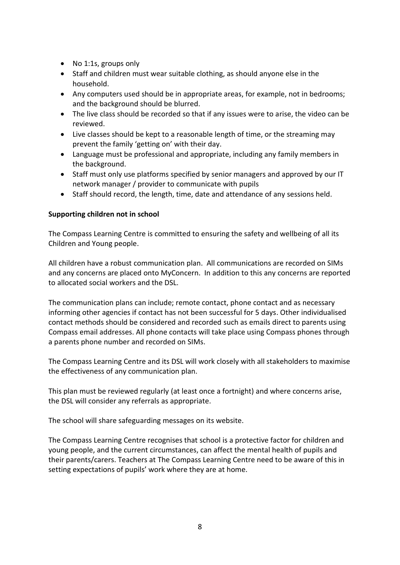- No 1:1s, groups only
- Staff and children must wear suitable clothing, as should anyone else in the household.
- Any computers used should be in appropriate areas, for example, not in bedrooms; and the background should be blurred.
- The live class should be recorded so that if any issues were to arise, the video can be reviewed.
- Live classes should be kept to a reasonable length of time, or the streaming may prevent the family 'getting on' with their day.
- Language must be professional and appropriate, including any family members in the background.
- Staff must only use platforms specified by senior managers and approved by our IT network manager / provider to communicate with pupils
- Staff should record, the length, time, date and attendance of any sessions held.

# <span id="page-7-0"></span>**Supporting children not in school**

The Compass Learning Centre is committed to ensuring the safety and wellbeing of all its Children and Young people.

All children have a robust communication plan. All communications are recorded on SIMs and any concerns are placed onto MyConcern. In addition to this any concerns are reported to allocated social workers and the DSL.

The communication plans can include; remote contact, phone contact and as necessary informing other agencies if contact has not been successful for 5 days. Other individualised contact methods should be considered and recorded such as emails direct to parents using Compass email addresses. All phone contacts will take place using Compass phones through a parents phone number and recorded on SIMs.

The Compass Learning Centre and its DSL will work closely with all stakeholders to maximise the effectiveness of any communication plan.

This plan must be reviewed regularly (at least once a fortnight) and where concerns arise, the DSL will consider any referrals as appropriate.

The school will share safeguarding messages on its website.

The Compass Learning Centre recognises that school is a protective factor for children and young people, and the current circumstances, can affect the mental health of pupils and their parents/carers. Teachers at The Compass Learning Centre need to be aware of this in setting expectations of pupils' work where they are at home.